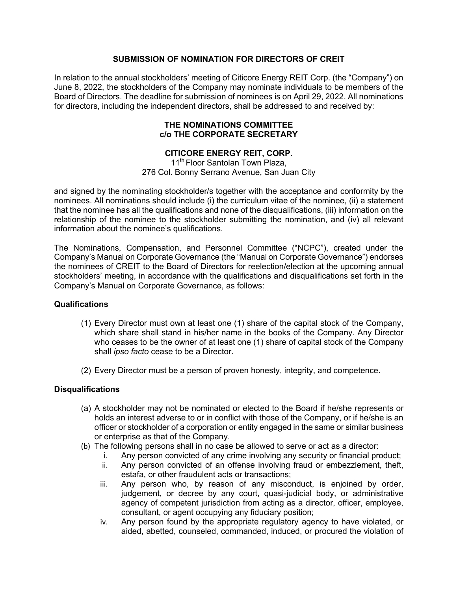## **SUBMISSION OF NOMINATION FOR DIRECTORS OF CREIT**

In relation to the annual stockholders' meeting of Citicore Energy REIT Corp. (the "Company") on June 8, 2022, the stockholders of the Company may nominate individuals to be members of the Board of Directors. The deadline for submission of nominees is on April 29, 2022. All nominations for directors, including the independent directors, shall be addressed to and received by:

#### **THE NOMINATIONS COMMITTEE c/o THE CORPORATE SECRETARY**

# **CITICORE ENERGY REIT, CORP.**

11<sup>th</sup> Floor Santolan Town Plaza, 276 Col. Bonny Serrano Avenue, San Juan City

and signed by the nominating stockholder/s together with the acceptance and conformity by the nominees. All nominations should include (i) the curriculum vitae of the nominee, (ii) a statement that the nominee has all the qualifications and none of the disqualifications, (iii) information on the relationship of the nominee to the stockholder submitting the nomination, and (iv) all relevant information about the nominee's qualifications.

The Nominations, Compensation, and Personnel Committee ("NCPC"), created under the Company's Manual on Corporate Governance (the "Manual on Corporate Governance") endorses the nominees of CREIT to the Board of Directors for reelection/election at the upcoming annual stockholders' meeting, in accordance with the qualifications and disqualifications set forth in the Company's Manual on Corporate Governance, as follows:

#### **Qualifications**

- (1) Every Director must own at least one (1) share of the capital stock of the Company, which share shall stand in his/her name in the books of the Company. Any Director who ceases to be the owner of at least one (1) share of capital stock of the Company shall *ipso facto* cease to be a Director.
- (2) Every Director must be a person of proven honesty, integrity, and competence.

#### **Disqualifications**

- (a) A stockholder may not be nominated or elected to the Board if he/she represents or holds an interest adverse to or in conflict with those of the Company, or if he/she is an officer or stockholder of a corporation or entity engaged in the same or similar business or enterprise as that of the Company.
- (b) The following persons shall in no case be allowed to serve or act as a director:
	- i. Any person convicted of any crime involving any security or financial product;
	- ii. Any person convicted of an offense involving fraud or embezzlement, theft, estafa, or other fraudulent acts or transactions;
	- iii. Any person who, by reason of any misconduct, is enjoined by order, judgement, or decree by any court, quasi-judicial body, or administrative agency of competent jurisdiction from acting as a director, officer, employee, consultant, or agent occupying any fiduciary position;
	- iv. Any person found by the appropriate regulatory agency to have violated, or aided, abetted, counseled, commanded, induced, or procured the violation of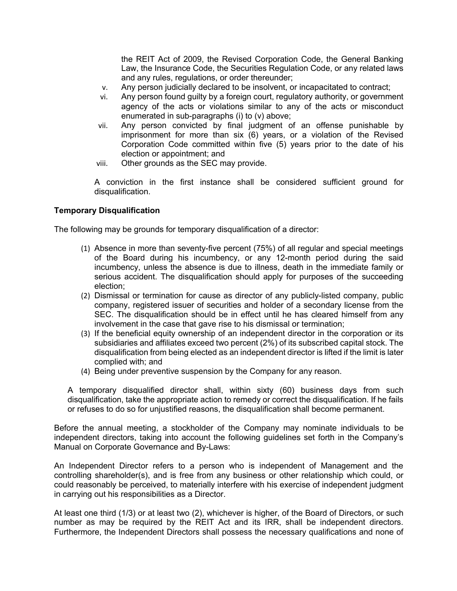the REIT Act of 2009, the Revised Corporation Code, the General Banking Law, the Insurance Code, the Securities Regulation Code, or any related laws and any rules, regulations, or order thereunder;

- v. Any person judicially declared to be insolvent, or incapacitated to contract;
- vi. Any person found guilty by a foreign court, regulatory authority, or government agency of the acts or violations similar to any of the acts or misconduct enumerated in sub-paragraphs (i) to (v) above;
- vii. Any person convicted by final judgment of an offense punishable by imprisonment for more than six (6) years, or a violation of the Revised Corporation Code committed within five (5) years prior to the date of his election or appointment; and
- viii. Other grounds as the SEC may provide.

A conviction in the first instance shall be considered sufficient ground for disqualification.

### **Temporary Disqualification**

The following may be grounds for temporary disqualification of a director:

- (1) Absence in more than seventy-five percent (75%) of all regular and special meetings of the Board during his incumbency, or any 12-month period during the said incumbency, unless the absence is due to illness, death in the immediate family or serious accident. The disqualification should apply for purposes of the succeeding election;
- (2) Dismissal or termination for cause as director of any publicly-listed company, public company, registered issuer of securities and holder of a secondary license from the SEC. The disqualification should be in effect until he has cleared himself from any involvement in the case that gave rise to his dismissal or termination;
- (3) If the beneficial equity ownership of an independent director in the corporation or its subsidiaries and affiliates exceed two percent (2%) of its subscribed capital stock. The disqualification from being elected as an independent director is lifted if the limit is later complied with; and
- (4) Being under preventive suspension by the Company for any reason.

A temporary disqualified director shall, within sixty (60) business days from such disqualification, take the appropriate action to remedy or correct the disqualification. If he fails or refuses to do so for unjustified reasons, the disqualification shall become permanent.

Before the annual meeting, a stockholder of the Company may nominate individuals to be independent directors, taking into account the following guidelines set forth in the Company's Manual on Corporate Governance and By-Laws:

An Independent Director refers to a person who is independent of Management and the controlling shareholder(s), and is free from any business or other relationship which could, or could reasonably be perceived, to materially interfere with his exercise of independent judgment in carrying out his responsibilities as a Director.

At least one third (1/3) or at least two (2), whichever is higher, of the Board of Directors, or such number as may be required by the REIT Act and its IRR, shall be independent directors. Furthermore, the Independent Directors shall possess the necessary qualifications and none of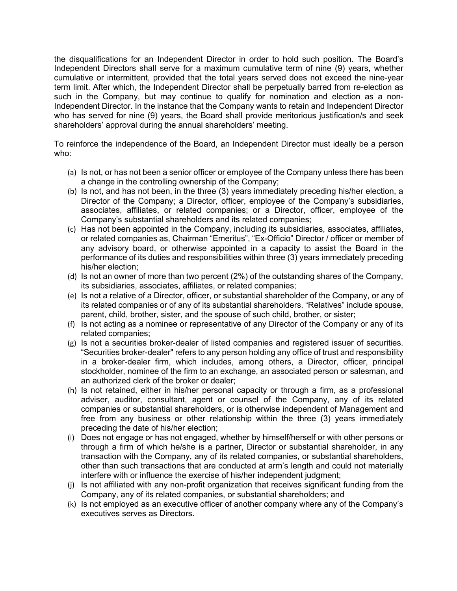the disqualifications for an Independent Director in order to hold such position. The Board's Independent Directors shall serve for a maximum cumulative term of nine (9) years, whether cumulative or intermittent, provided that the total years served does not exceed the nine-year term limit. After which, the Independent Director shall be perpetually barred from re-election as such in the Company, but may continue to qualify for nomination and election as a non-Independent Director. In the instance that the Company wants to retain and Independent Director who has served for nine (9) years, the Board shall provide meritorious justification/s and seek shareholders' approval during the annual shareholders' meeting.

To reinforce the independence of the Board, an Independent Director must ideally be a person who:

- (a) Is not, or has not been a senior officer or employee of the Company unless there has been a change in the controlling ownership of the Company;
- (b) Is not, and has not been, in the three (3) years immediately preceding his/her election, a Director of the Company; a Director, officer, employee of the Company's subsidiaries, associates, affiliates, or related companies; or a Director, officer, employee of the Company's substantial shareholders and its related companies;
- (c) Has not been appointed in the Company, including its subsidiaries, associates, affiliates, or related companies as, Chairman "Emeritus", "Ex-Officio" Director / officer or member of any advisory board, or otherwise appointed in a capacity to assist the Board in the performance of its duties and responsibilities within three (3) years immediately preceding his/her election;
- (d) Is not an owner of more than two percent (2%) of the outstanding shares of the Company, its subsidiaries, associates, affiliates, or related companies;
- (e) Is not a relative of a Director, officer, or substantial shareholder of the Company, or any of its related companies or of any of its substantial shareholders. "Relatives" include spouse, parent, child, brother, sister, and the spouse of such child, brother, or sister;
- (f) Is not acting as a nominee or representative of any Director of the Company or any of its related companies;
- (g) Is not a securities broker-dealer of listed companies and registered issuer of securities. "Securities broker-dealer" refers to any person holding any office of trust and responsibility in a broker-dealer firm, which includes, among others, a Director, officer, principal stockholder, nominee of the firm to an exchange, an associated person or salesman, and an authorized clerk of the broker or dealer;
- (h) Is not retained, either in his/her personal capacity or through a firm, as a professional adviser, auditor, consultant, agent or counsel of the Company, any of its related companies or substantial shareholders, or is otherwise independent of Management and free from any business or other relationship within the three (3) years immediately preceding the date of his/her election;
- (i) Does not engage or has not engaged, whether by himself/herself or with other persons or through a firm of which he/she is a partner, Director or substantial shareholder, in any transaction with the Company, any of its related companies, or substantial shareholders, other than such transactions that are conducted at arm's length and could not materially interfere with or influence the exercise of his/her independent judgment;
- (j) Is not affiliated with any non-profit organization that receives significant funding from the Company, any of its related companies, or substantial shareholders; and
- (k) Is not employed as an executive officer of another company where any of the Company's executives serves as Directors.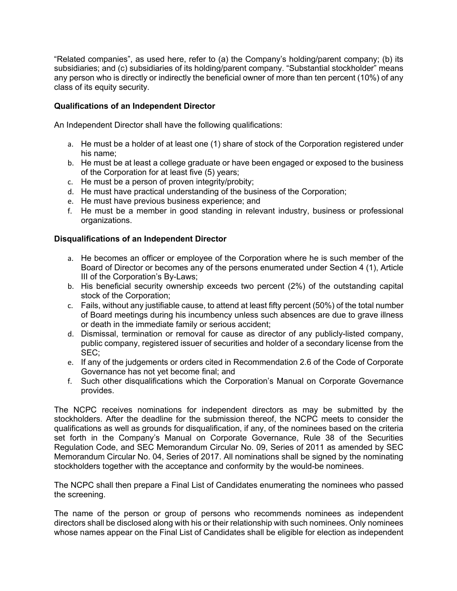"Related companies", as used here, refer to (a) the Company's holding/parent company; (b) its subsidiaries; and (c) subsidiaries of its holding/parent company. "Substantial stockholder" means any person who is directly or indirectly the beneficial owner of more than ten percent (10%) of any class of its equity security.

# **Qualifications of an Independent Director**

An Independent Director shall have the following qualifications:

- a. He must be a holder of at least one (1) share of stock of the Corporation registered under his name;
- b. He must be at least a college graduate or have been engaged or exposed to the business of the Corporation for at least five (5) years;
- c. He must be a person of proven integrity/probity;
- d. He must have practical understanding of the business of the Corporation;
- e. He must have previous business experience; and
- f. He must be a member in good standing in relevant industry, business or professional organizations.

# **Disqualifications of an Independent Director**

- a. He becomes an officer or employee of the Corporation where he is such member of the Board of Director or becomes any of the persons enumerated under Section 4 (1), Article III of the Corporation's By-Laws;
- b. His beneficial security ownership exceeds two percent (2%) of the outstanding capital stock of the Corporation;
- c. Fails, without any justifiable cause, to attend at least fifty percent (50%) of the total number of Board meetings during his incumbency unless such absences are due to grave illness or death in the immediate family or serious accident;
- d. Dismissal, termination or removal for cause as director of any publicly-listed company, public company, registered issuer of securities and holder of a secondary license from the SEC;
- e. If any of the judgements or orders cited in Recommendation 2.6 of the Code of Corporate Governance has not yet become final; and
- f. Such other disqualifications which the Corporation's Manual on Corporate Governance provides.

The NCPC receives nominations for independent directors as may be submitted by the stockholders. After the deadline for the submission thereof, the NCPC meets to consider the qualifications as well as grounds for disqualification, if any, of the nominees based on the criteria set forth in the Company's Manual on Corporate Governance, Rule 38 of the Securities Regulation Code, and SEC Memorandum Circular No. 09, Series of 2011 as amended by SEC Memorandum Circular No. 04, Series of 2017. All nominations shall be signed by the nominating stockholders together with the acceptance and conformity by the would-be nominees.

The NCPC shall then prepare a Final List of Candidates enumerating the nominees who passed the screening.

The name of the person or group of persons who recommends nominees as independent directors shall be disclosed along with his or their relationship with such nominees. Only nominees whose names appear on the Final List of Candidates shall be eligible for election as independent